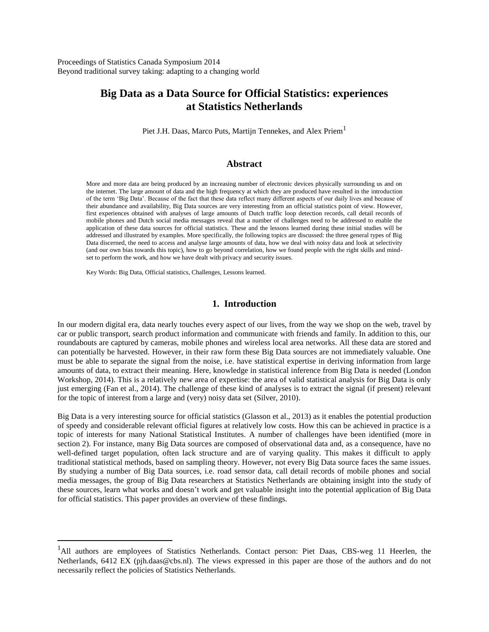Proceedings of Statistics Canada Symposium 2014 Beyond traditional survey taking: adapting to a changing world

# **Big Data as a Data Source for Official Statistics: experiences at Statistics Netherlands**

Piet J.H. Daas, Marco Puts, Martijn Tennekes, and Alex Priem<sup>1</sup>

#### **Abstract**

More and more data are being produced by an increasing number of electronic devices physically surrounding us and on the internet. The large amount of data and the high frequency at which they are produced have resulted in the introduction of the term 'Big Data'. Because of the fact that these data reflect many different aspects of our daily lives and because of their abundance and availability, Big Data sources are very interesting from an official statistics point of view. However, first experiences obtained with analyses of large amounts of Dutch traffic loop detection records, call detail records of mobile phones and Dutch social media messages reveal that a number of challenges need to be addressed to enable the application of these data sources for official statistics. These and the lessons learned during these initial studies will be addressed and illustrated by examples. More specifically, the following topics are discussed: the three general types of Big Data discerned, the need to access and analyse large amounts of data, how we deal with noisy data and look at selectivity (and our own bias towards this topic), how to go beyond correlation, how we found people with the right skills and mindset to perform the work, and how we have dealt with privacy and security issues.

Key Words: Big Data, Official statistics, Challenges, Lessons learned.

 $\overline{a}$ 

### **1. Introduction**

In our modern digital era, data nearly touches every aspect of our lives, from the way we shop on the web, travel by car or public transport, search product information and communicate with friends and family. In addition to this, our roundabouts are captured by cameras, mobile phones and wireless local area networks. All these data are stored and can potentially be harvested. However, in their raw form these Big Data sources are not immediately valuable. One must be able to separate the signal from the noise, i.e. have statistical expertise in deriving information from large amounts of data, to extract their meaning. Here, knowledge in statistical inference from Big Data is needed (London Workshop, 2014). This is a relatively new area of expertise: the area of valid statistical analysis for Big Data is only just emerging (Fan et al., 2014). The challenge of these kind of analyses is to extract the signal (if present) relevant for the topic of interest from a large and (very) noisy data set (Silver, 2010).

Big Data is a very interesting source for official statistics (Glasson et al., 2013) as it enables the potential production of speedy and considerable relevant official figures at relatively low costs. How this can be achieved in practice is a topic of interests for many National Statistical Institutes. A number of challenges have been identified (more in section 2). For instance, many Big Data sources are composed of observational data and, as a consequence, have no well-defined target population, often lack structure and are of varying quality. This makes it difficult to apply traditional statistical methods, based on sampling theory. However, not every Big Data source faces the same issues. By studying a number of Big Data sources, i.e. road sensor data, call detail records of mobile phones and social media messages, the group of Big Data researchers at Statistics Netherlands are obtaining insight into the study of these sources, learn what works and doesn't work and get valuable insight into the potential application of Big Data for official statistics. This paper provides an overview of these findings.

<sup>&</sup>lt;sup>1</sup>All authors are employees of Statistics Netherlands. Contact person: Piet Daas, CBS-weg 11 Heerlen, the Netherlands, 6412 EX (pjh.daas@cbs.nl). The views expressed in this paper are those of the authors and do not necessarily reflect the policies of Statistics Netherlands.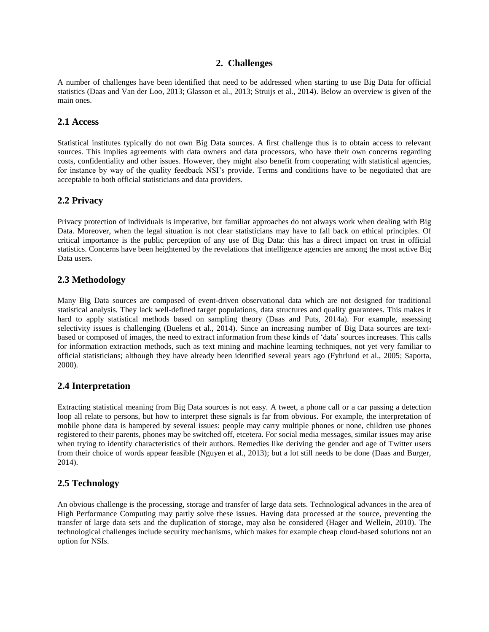## **2. Challenges**

A number of challenges have been identified that need to be addressed when starting to use Big Data for official statistics (Daas and Van der Loo, 2013; Glasson et al., 2013; Struijs et al., 2014). Below an overview is given of the main ones.

## **2.1 Access**

Statistical institutes typically do not own Big Data sources. A first challenge thus is to obtain access to relevant sources. This implies agreements with data owners and data processors, who have their own concerns regarding costs, confidentiality and other issues. However, they might also benefit from cooperating with statistical agencies, for instance by way of the quality feedback NSI's provide. Terms and conditions have to be negotiated that are acceptable to both official statisticians and data providers.

# **2.2 Privacy**

Privacy protection of individuals is imperative, but familiar approaches do not always work when dealing with Big Data. Moreover, when the legal situation is not clear statisticians may have to fall back on ethical principles. Of critical importance is the public perception of any use of Big Data: this has a direct impact on trust in official statistics. Concerns have been heightened by the revelations that intelligence agencies are among the most active Big Data users.

# **2.3 Methodology**

Many Big Data sources are composed of event-driven observational data which are not designed for traditional statistical analysis. They lack well-defined target populations, data structures and quality guarantees. This makes it hard to apply statistical methods based on sampling theory (Daas and Puts, 2014a). For example, assessing selectivity issues is challenging (Buelens et al., 2014). Since an increasing number of Big Data sources are textbased or composed of images, the need to extract information from these kinds of 'data' sources increases. This calls for information extraction methods, such as text mining and machine learning techniques, not yet very familiar to official statisticians; although they have already been identified several years ago (Fyhrlund et al., 2005; Saporta, 2000).

# **2.4 Interpretation**

Extracting statistical meaning from Big Data sources is not easy. A tweet, a phone call or a car passing a detection loop all relate to persons, but how to interpret these signals is far from obvious. For example, the interpretation of mobile phone data is hampered by several issues: people may carry multiple phones or none, children use phones registered to their parents, phones may be switched off, etcetera. For social media messages, similar issues may arise when trying to identify characteristics of their authors. Remedies like deriving the gender and age of Twitter users from their choice of words appear feasible (Nguyen et al., 2013); but a lot still needs to be done (Daas and Burger, 2014).

# **2.5 Technology**

An obvious challenge is the processing, storage and transfer of large data sets. Technological advances in the area of High Performance Computing may partly solve these issues. Having data processed at the source, preventing the transfer of large data sets and the duplication of storage, may also be considered (Hager and Wellein, 2010). The technological challenges include security mechanisms, which makes for example cheap cloud-based solutions not an option for NSIs.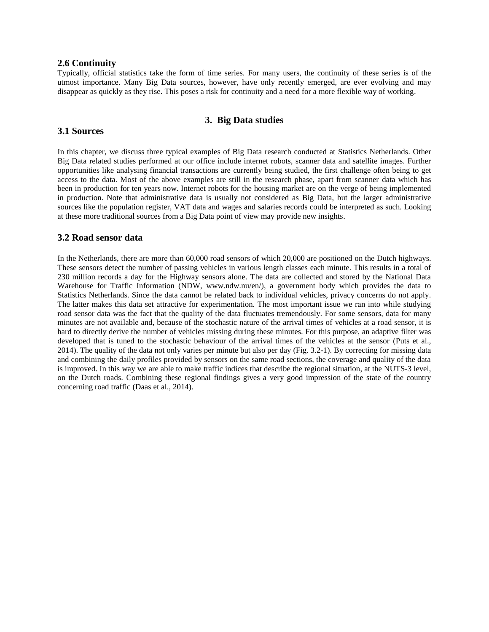#### **2.6 Continuity**

Typically, official statistics take the form of time series. For many users, the continuity of these series is of the utmost importance. Many Big Data sources, however, have only recently emerged, are ever evolving and may disappear as quickly as they rise. This poses a risk for continuity and a need for a more flexible way of working.

# **3. Big Data studies**

# **3.1 Sources**

In this chapter, we discuss three typical examples of Big Data research conducted at Statistics Netherlands. Other Big Data related studies performed at our office include internet robots, scanner data and satellite images. Further opportunities like analysing financial transactions are currently being studied, the first challenge often being to get access to the data. Most of the above examples are still in the research phase, apart from scanner data which has been in production for ten years now. Internet robots for the housing market are on the verge of being implemented in production. Note that administrative data is usually not considered as Big Data, but the larger administrative sources like the population register, VAT data and wages and salaries records could be interpreted as such. Looking at these more traditional sources from a Big Data point of view may provide new insights.

#### **3.2 Road sensor data**

In the Netherlands, there are more than 60,000 road sensors of which 20,000 are positioned on the Dutch highways. These sensors detect the number of passing vehicles in various length classes each minute. This results in a total of 230 million records a day for the Highway sensors alone. The data are collected and stored by the National Data Warehouse for Traffic Information (NDW, www.ndw.nu/en/), a government body which provides the data to Statistics Netherlands. Since the data cannot be related back to individual vehicles, privacy concerns do not apply. The latter makes this data set attractive for experimentation. The most important issue we ran into while studying road sensor data was the fact that the quality of the data fluctuates tremendously. For some sensors, data for many minutes are not available and, because of the stochastic nature of the arrival times of vehicles at a road sensor, it is hard to directly derive the number of vehicles missing during these minutes. For this purpose, an adaptive filter was developed that is tuned to the stochastic behaviour of the arrival times of the vehicles at the sensor (Puts et al., 2014). The quality of the data not only varies per minute but also per day (Fig. 3.2-1). By correcting for missing data and combining the daily profiles provided by sensors on the same road sections, the coverage and quality of the data is improved. In this way we are able to make traffic indices that describe the regional situation, at the NUTS-3 level, on the Dutch roads. Combining these regional findings gives a very good impression of the state of the country concerning road traffic (Daas et al., 2014).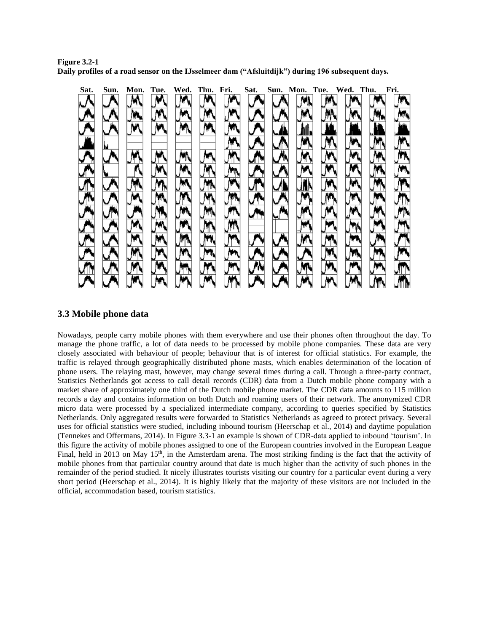**Figure 3.2-1 Daily profiles of a road sensor on the IJsselmeer dam ("Afsluitdijk") during 196 subsequent days.** 



# **3.3 Mobile phone data**

Nowadays, people carry mobile phones with them everywhere and use their phones often throughout the day. To manage the phone traffic, a lot of data needs to be processed by mobile phone companies. These data are very closely associated with behaviour of people; behaviour that is of interest for official statistics. For example, the traffic is relayed through geographically distributed phone masts, which enables determination of the location of phone users. The relaying mast, however, may change several times during a call. Through a three-party contract, Statistics Netherlands got access to call detail records (CDR) data from a Dutch mobile phone company with a market share of approximately one third of the Dutch mobile phone market. The CDR data amounts to 115 million records a day and contains information on both Dutch and roaming users of their network. The anonymized CDR micro data were processed by a specialized intermediate company, according to queries specified by Statistics Netherlands. Only aggregated results were forwarded to Statistics Netherlands as agreed to protect privacy. Several uses for official statistics were studied, including inbound tourism (Heerschap et al., 2014) and daytime population (Tennekes and Offermans, 2014). In Figure 3.3-1 an example is shown of CDR-data applied to inbound 'tourism'. In this figure the activity of mobile phones assigned to one of the European countries involved in the European League Final, held in 2013 on May  $15<sup>th</sup>$ , in the Amsterdam arena. The most striking finding is the fact that the activity of mobile phones from that particular country around that date is much higher than the activity of such phones in the remainder of the period studied. It nicely illustrates tourists visiting our country for a particular event during a very short period (Heerschap et al., 2014). It is highly likely that the majority of these visitors are not included in the official, accommodation based, tourism statistics.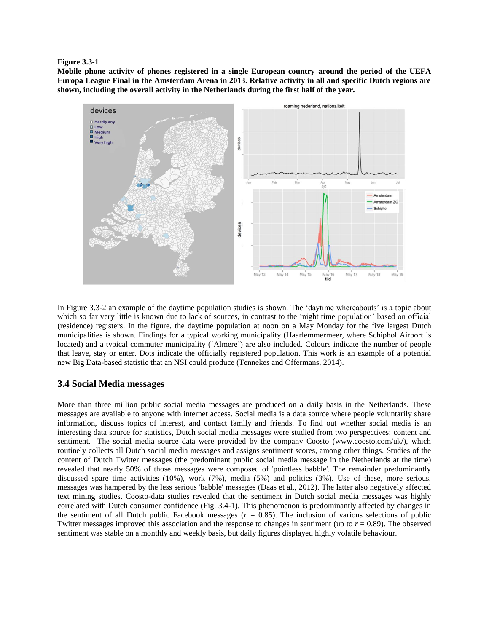#### **Figure 3.3-1**

**Mobile phone activity of phones registered in a single European country around the period of the UEFA Europa League Final in the Amsterdam Arena in 2013. Relative activity in all and specific Dutch regions are shown, including the overall activity in the Netherlands during the first half of the year.**



In Figure 3.3-2 an example of the daytime population studies is shown. The 'daytime whereabouts' is a topic about which so far very little is known due to lack of sources, in contrast to the 'night time population' based on official (residence) registers. In the figure, the daytime population at noon on a May Monday for the five largest Dutch municipalities is shown. Findings for a typical working municipality (Haarlemmermeer, where Schiphol Airport is located) and a typical commuter municipality ('Almere') are also included. Colours indicate the number of people that leave, stay or enter. Dots indicate the officially registered population. This work is an example of a potential new Big Data-based statistic that an NSI could produce (Tennekes and Offermans, 2014).

### **3.4 Social Media messages**

More than three million public social media messages are produced on a daily basis in the Netherlands. These messages are available to anyone with internet access. Social media is a data source where people voluntarily share information, discuss topics of interest, and contact family and friends. To find out whether social media is an interesting data source for statistics, Dutch social media messages were studied from two perspectives: content and sentiment. The social media source data were provided by the company Coosto (www.coosto.com/uk/), which routinely collects all Dutch social media messages and assigns sentiment scores, among other things. Studies of the content of Dutch Twitter messages (the predominant public social media message in the Netherlands at the time) revealed that nearly 50% of those messages were composed of 'pointless babble'. The remainder predominantly discussed spare time activities (10%), work (7%), media (5%) and politics (3%). Use of these, more serious, messages was hampered by the less serious 'babble' messages (Daas et al., 2012). The latter also negatively affected text mining studies. Coosto-data studies revealed that the sentiment in Dutch social media messages was highly correlated with Dutch consumer confidence (Fig. 3.4-1). This phenomenon is predominantly affected by changes in the sentiment of all Dutch public Facebook messages  $(r = 0.85)$ . The inclusion of various selections of public Twitter messages improved this association and the response to changes in sentiment (up to *r* = 0.89). The observed sentiment was stable on a monthly and weekly basis, but daily figures displayed highly volatile behaviour.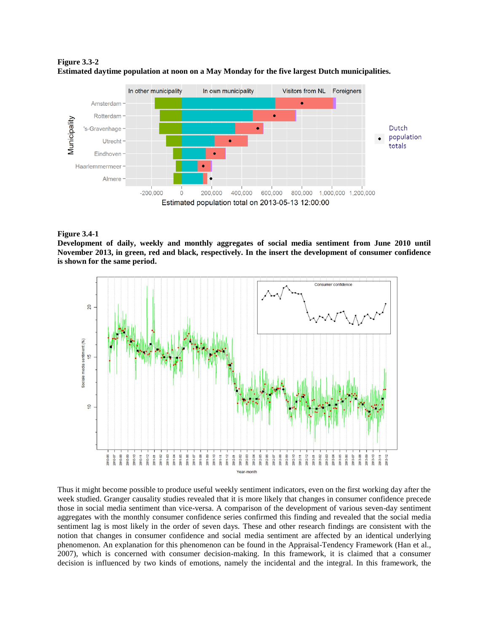



#### **Figure 3.4-1**

**Development of daily, weekly and monthly aggregates of social media sentiment from June 2010 until November 2013, in green, red and black, respectively. In the insert the development of consumer confidence is shown for the same period.**



Thus it might become possible to produce useful weekly sentiment indicators, even on the first working day after the week studied. Granger causality studies revealed that it is more likely that changes in consumer confidence precede those in social media sentiment than vice-versa. A comparison of the development of various seven-day sentiment aggregates with the monthly consumer confidence series confirmed this finding and revealed that the social media sentiment lag is most likely in the order of seven days. These and other research findings are consistent with the notion that changes in consumer confidence and social media sentiment are affected by an identical underlying phenomenon. An explanation for this phenomenon can be found in the Appraisal-Tendency Framework (Han et al., 2007), which is concerned with consumer decision-making. In this framework, it is claimed that a consumer decision is influenced by two kinds of emotions, namely the incidental and the integral. In this framework, the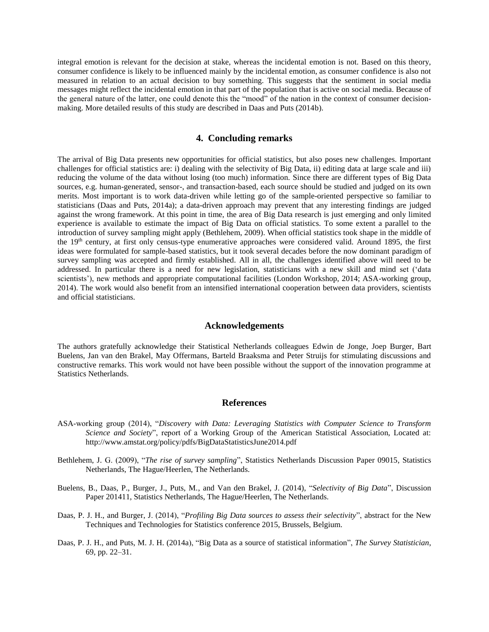integral emotion is relevant for the decision at stake, whereas the incidental emotion is not. Based on this theory, consumer confidence is likely to be influenced mainly by the incidental emotion, as consumer confidence is also not measured in relation to an actual decision to buy something. This suggests that the sentiment in social media messages might reflect the incidental emotion in that part of the population that is active on social media. Because of the general nature of the latter, one could denote this the "mood" of the nation in the context of consumer decisionmaking. More detailed results of this study are described in Daas and Puts (2014b).

#### **4. Concluding remarks**

The arrival of Big Data presents new opportunities for official statistics, but also poses new challenges. Important challenges for official statistics are: i) dealing with the selectivity of Big Data, ii) editing data at large scale and iii) reducing the volume of the data without losing (too much) information. Since there are different types of Big Data sources, e.g. human-generated, sensor-, and transaction-based, each source should be studied and judged on its own merits. Most important is to work data-driven while letting go of the sample-oriented perspective so familiar to statisticians (Daas and Puts, 2014a); a data-driven approach may prevent that any interesting findings are judged against the wrong framework. At this point in time, the area of Big Data research is just emerging and only limited experience is available to estimate the impact of Big Data on official statistics. To some extent a parallel to the introduction of survey sampling might apply (Bethlehem, 2009). When official statistics took shape in the middle of the 19<sup>th</sup> century, at first only census-type enumerative approaches were considered valid. Around 1895, the first ideas were formulated for sample-based statistics, but it took several decades before the now dominant paradigm of survey sampling was accepted and firmly established. All in all, the challenges identified above will need to be addressed. In particular there is a need for new legislation, statisticians with a new skill and mind set ('data scientists'), new methods and appropriate computational facilities (London Workshop, 2014; ASA-working group, 2014). The work would also benefit from an intensified international cooperation between data providers, scientists and official statisticians.

#### **Acknowledgements**

The authors gratefully acknowledge their Statistical Netherlands colleagues Edwin de Jonge, Joep Burger, Bart Buelens, Jan van den Brakel, May Offermans, Barteld Braaksma and Peter Struijs for stimulating discussions and constructive remarks. This work would not have been possible without the support of the innovation programme at Statistics Netherlands.

#### **References**

- ASA-working group (2014), "*Discovery with Data: Leveraging Statistics with Computer Science to Transform Science and Society*", report of a Working Group of the American Statistical Association, Located at: http://www.amstat.org/policy/pdfs/BigDataStatisticsJune2014.pdf
- Bethlehem, J. G. (2009), "*The rise of survey sampling*", Statistics Netherlands Discussion Paper 09015, Statistics Netherlands, The Hague/Heerlen, The Netherlands.
- Buelens, B., Daas, P., Burger, J., Puts, M., and Van den Brakel, J. (2014), "*Selectivity of Big Data*", Discussion Paper 201411, Statistics Netherlands, The Hague/Heerlen, The Netherlands.
- Daas, P. J. H., and Burger, J. (2014), "*Profiling Big Data sources to assess their selectivity*", abstract for the New Techniques and Technologies for Statistics conference 2015, Brussels, Belgium.
- Daas, P. J. H., and Puts, M. J. H. (2014a), "Big Data as a source of statistical information", *The Survey Statistician*, 69, pp. 22–31.